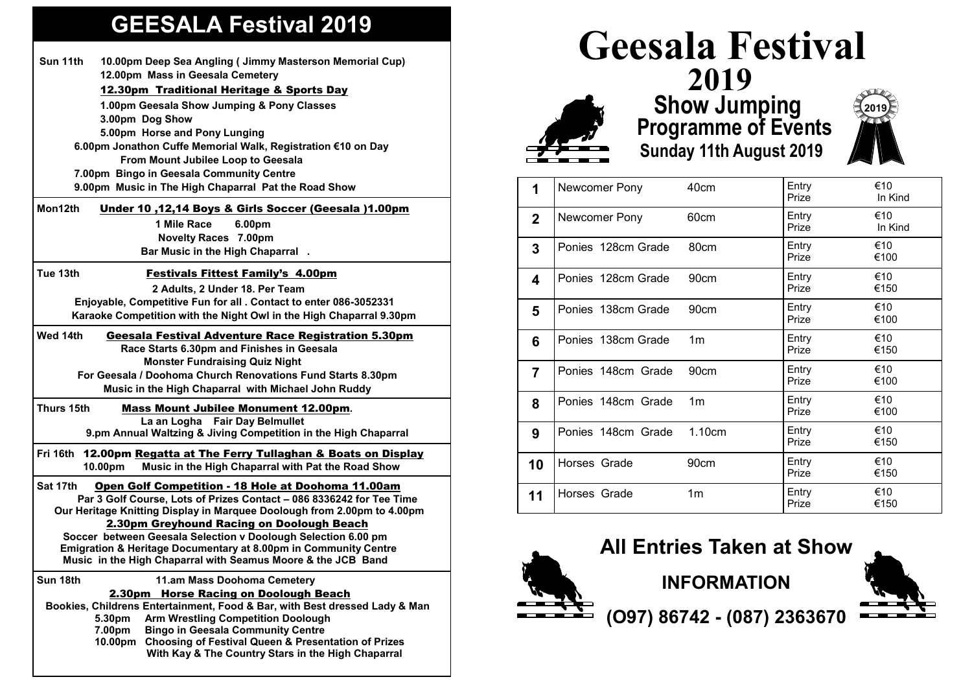## **GEESALA Festival 2019**

|                                                              | Sun 11th                                                                   | 10.00pm Deep Sea Angling ( Jimmy Masterson Memorial Cup)                                                                 |  |  |  |
|--------------------------------------------------------------|----------------------------------------------------------------------------|--------------------------------------------------------------------------------------------------------------------------|--|--|--|
|                                                              |                                                                            | 12.00pm Mass in Geesala Cemetery                                                                                         |  |  |  |
|                                                              |                                                                            | 12.30pm Traditional Heritage & Sports Day                                                                                |  |  |  |
|                                                              |                                                                            | 1.00pm Geesala Show Jumping & Pony Classes                                                                               |  |  |  |
|                                                              |                                                                            | 3.00pm Dog Show                                                                                                          |  |  |  |
|                                                              |                                                                            | 5.00pm Horse and Pony Lunging                                                                                            |  |  |  |
| 6.00pm Jonathon Cuffe Memorial Walk, Registration €10 on Day |                                                                            |                                                                                                                          |  |  |  |
|                                                              | From Mount Jubilee Loop to Geesala                                         |                                                                                                                          |  |  |  |
| 7.00pm Bingo in Geesala Community Centre                     |                                                                            |                                                                                                                          |  |  |  |
|                                                              | 9.00pm Music in The High Chaparral Pat the Road Show                       |                                                                                                                          |  |  |  |
|                                                              | Mon12th                                                                    | <u>Under 10,12,14 Boys &amp; Girls Soccer (Geesala )1.00pm</u>                                                           |  |  |  |
|                                                              |                                                                            | 1 Mile Race<br>6.00pm                                                                                                    |  |  |  |
|                                                              |                                                                            | <b>Novelty Races 7.00pm</b>                                                                                              |  |  |  |
|                                                              |                                                                            | Bar Music in the High Chaparral.                                                                                         |  |  |  |
|                                                              | Tue 13th                                                                   | <b>Festivals Fittest Family's 4.00pm</b>                                                                                 |  |  |  |
|                                                              |                                                                            | 2 Adults, 2 Under 18. Per Team                                                                                           |  |  |  |
|                                                              |                                                                            | Enjoyable, Competitive Fun for all . Contact to enter 086-3052331                                                        |  |  |  |
|                                                              |                                                                            | Karaoke Competition with the Night Owl in the High Chaparral 9.30pm                                                      |  |  |  |
|                                                              | Wed 14th                                                                   | <b>Geesala Festival Adventure Race Registration 5.30pm</b>                                                               |  |  |  |
|                                                              |                                                                            | Race Starts 6.30pm and Finishes in Geesala                                                                               |  |  |  |
|                                                              |                                                                            | <b>Monster Fundraising Quiz Night</b>                                                                                    |  |  |  |
|                                                              |                                                                            | For Geesala / Doohoma Church Renovations Fund Starts 8.30pm                                                              |  |  |  |
|                                                              |                                                                            | Music in the High Chaparral with Michael John Ruddy                                                                      |  |  |  |
|                                                              | Thurs 15th                                                                 | <b>Mass Mount Jubilee Monument 12.00pm.</b>                                                                              |  |  |  |
|                                                              |                                                                            | La an Logha Fair Day Belmullet                                                                                           |  |  |  |
|                                                              |                                                                            | 9.pm Annual Waltzing & Jiving Competition in the High Chaparral                                                          |  |  |  |
|                                                              |                                                                            |                                                                                                                          |  |  |  |
|                                                              | 10.00pm                                                                    | Fri 16th 12.00pm Regatta at The Ferry Tullaghan & Boats on Display<br>Music in the High Chaparral with Pat the Road Show |  |  |  |
|                                                              | Sat 17th                                                                   | Open Golf Competition - 18 Hole at Doohoma 11.00am                                                                       |  |  |  |
|                                                              |                                                                            | Par 3 Golf Course, Lots of Prizes Contact - 086 8336242 for Tee Time                                                     |  |  |  |
|                                                              | Our Heritage Knitting Display in Marquee Doolough from 2.00pm to 4.00pm    |                                                                                                                          |  |  |  |
|                                                              |                                                                            | 2.30pm Greyhound Racing on Doolough Beach                                                                                |  |  |  |
|                                                              |                                                                            | Soccer between Geesala Selection v Doolough Selection 6.00 pm                                                            |  |  |  |
|                                                              |                                                                            | Emigration & Heritage Documentary at 8.00pm in Community Centre                                                          |  |  |  |
|                                                              |                                                                            | Music in the High Chaparral with Seamus Moore & the JCB Band                                                             |  |  |  |
|                                                              | Sun 18th                                                                   | 11.am Mass Doohoma Cemetery                                                                                              |  |  |  |
|                                                              | 2.30pm                                                                     | <b>Horse Racing on Doolough Beach</b>                                                                                    |  |  |  |
|                                                              | Bookies, Childrens Entertainment, Food & Bar, with Best dressed Lady & Man |                                                                                                                          |  |  |  |
|                                                              | 5.30pm                                                                     | <b>Arm Wrestling Competition Doolough</b>                                                                                |  |  |  |
|                                                              | 7.00pm                                                                     | <b>Bingo in Geesala Community Centre</b>                                                                                 |  |  |  |
|                                                              | 10.00pm                                                                    | <b>Choosing of Festival Queen &amp; Presentation of Prizes</b><br>With Kay & The Country Stars in the High Chaparral     |  |  |  |
|                                                              |                                                                            |                                                                                                                          |  |  |  |



## **2019 Show Jumping** *Constitute Programme of Events* **Sunday 11th August 2019**



| 1              | Newcomer Pony      | 40cm             | Entry<br>Prize | €10<br>In Kind |
|----------------|--------------------|------------------|----------------|----------------|
| $\mathbf{2}$   | Newcomer Pony      | 60cm             | Entry<br>Prize | €10<br>In Kind |
| 3              | Ponies 128cm Grade | 80cm             | Entry<br>Prize | €10<br>€100    |
| 4              | Ponies 128cm Grade | 90cm             | Entry<br>Prize | €10<br>€150    |
| 5              | Ponies 138cm Grade | 90cm             | Entry<br>Prize | €10<br>€100    |
| 6              | Ponies 138cm Grade | 1 <sub>m</sub>   | Entry<br>Prize | €10<br>€150    |
| $\overline{7}$ | Ponies 148cm Grade | 90 <sub>cm</sub> | Entry<br>Prize | €10<br>€100    |
| 8              | Ponies 148cm Grade | 1 <sub>m</sub>   | Entry<br>Prize | €10<br>€100    |
| 9              | Ponies 148cm Grade | 1.10cm           | Entry<br>Prize | €10<br>€150    |
| 10             | Horses Grade       | 90 <sub>cm</sub> | Entry<br>Prize | €10<br>€150    |
| 11             | Horses Grade       | 1 <sub>m</sub>   | Entry<br>Prize | €10<br>€150    |



**All Entries Taken at Show**

**INFORMATION**



**(O97) 86742 - (087) 2363670**